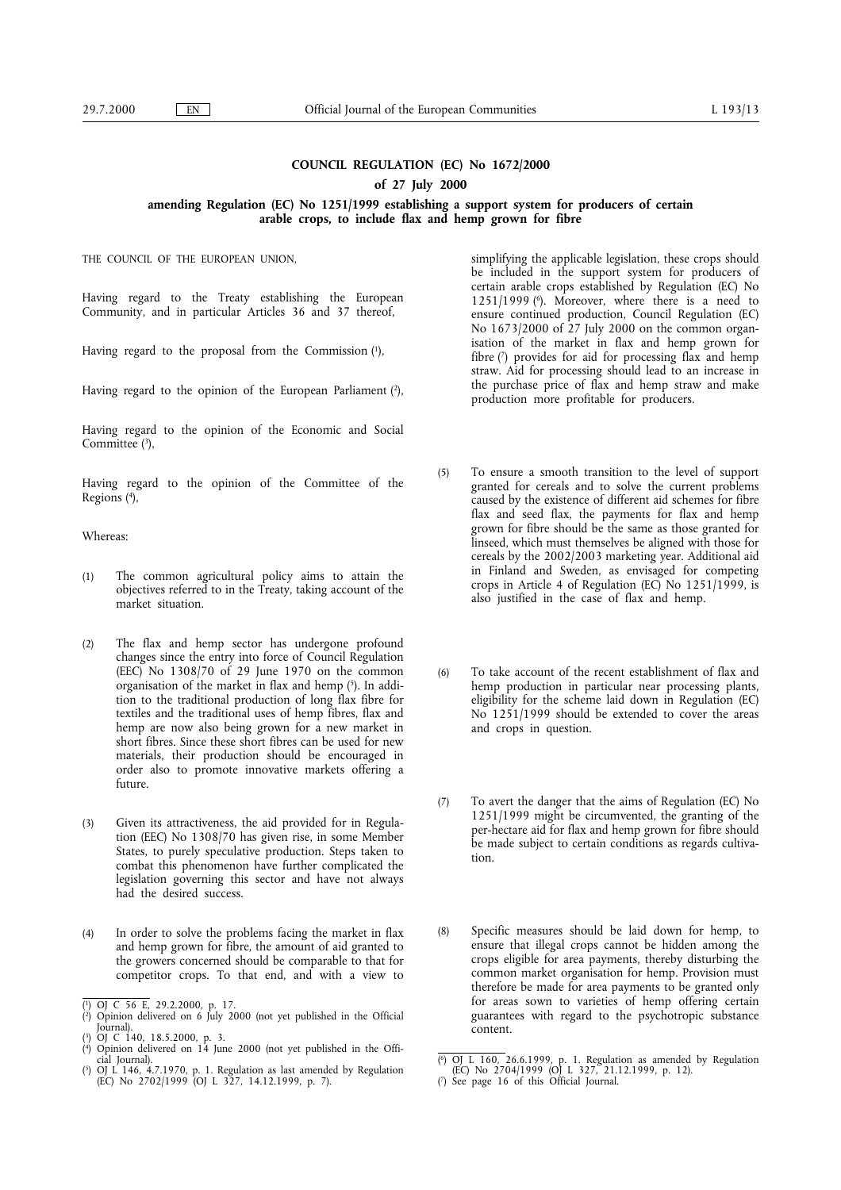## **COUNCIL REGULATION (EC) No 1672/2000**

#### **of 27 July 2000**

### **amending Regulation (EC) No 1251/1999 establishing a support system for producers of certain arable crops, to include flax and hemp grown for fibre**

THE COUNCIL OF THE EUROPEAN UNION,

Having regard to the Treaty establishing the European Community, and in particular Articles 36 and 37 thereof,

Having regard to the proposal from the Commission  $(1)$ ,

Having regard to the opinion of the European Parliament  $(2)$ ,

Having regard to the opinion of the Economic and Social Committee  $(3)$ ,

Having regard to the opinion of the Committee of the Regions (4),

### Whereas:

- (1) The common agricultural policy aims to attain the objectives referred to in the Treaty, taking account of the market situation.
- (2) The flax and hemp sector has undergone profound changes since the entry into force of Council Regulation (EEC) No 1308/70 of 29 June 1970 on the common organisation of the market in flax and hemp  $(5)$ . In addition to the traditional production of long flax fibre for textiles and the traditional uses of hemp fibres, flax and hemp are now also being grown for a new market in short fibres. Since these short fibres can be used for new materials, their production should be encouraged in order also to promote innovative markets offering a future.
- (3) Given its attractiveness, the aid provided for in Regulation (EEC) No 1308/70 has given rise, in some Member States, to purely speculative production. Steps taken to combat this phenomenon have further complicated the legislation governing this sector and have not always had the desired success.
- (4) In order to solve the problems facing the market in flax and hemp grown for fibre, the amount of aid granted to the growers concerned should be comparable to that for competitor crops. To that end, and with a view to

simplifying the applicable legislation, these crops should be included in the support system for producers of certain arable crops established by Regulation (EC) No 1251/1999 ( $\degree$ ). Moreover, where there is a need to ensure continued production, Council Regulation (EC) No 1673/2000 of 27 July 2000 on the common organisation of the market in flax and hemp grown for fibre (7) provides for aid for processing flax and hemp straw. Aid for processing should lead to an increase in the purchase price of flax and hemp straw and make production more profitable for producers.

- (5) To ensure a smooth transition to the level of support granted for cereals and to solve the current problems caused by the existence of different aid schemes for fibre flax and seed flax, the payments for flax and hemp grown for fibre should be the same as those granted for linseed, which must themselves be aligned with those for cereals by the 2002/2003 marketing year. Additional aid in Finland and Sweden, as envisaged for competing crops in Article 4 of Regulation (EC) No 1251/1999, is also justified in the case of flax and hemp.
- (6) To take account of the recent establishment of flax and hemp production in particular near processing plants, eligibility for the scheme laid down in Regulation (EC) No 1251/1999 should be extended to cover the areas and crops in question.
- (7) To avert the danger that the aims of Regulation (EC) No 1251/1999 might be circumvented, the granting of the per-hectare aid for flax and hemp grown for fibre should be made subject to certain conditions as regards cultivation.
- (8) Specific measures should be laid down for hemp, to ensure that illegal crops cannot be hidden among the crops eligible for area payments, thereby disturbing the common market organisation for hemp. Provision must therefore be made for area payments to be granted only for areas sown to varieties of hemp offering certain guarantees with regard to the psychotropic substance content.

<sup>(</sup> 1) OJ C 56 E, 29.2.2000, p. 17. ( 2) Opinion delivered on 6 July 2000 (not yet published in the Official Journal).

<sup>(</sup> 3) OJ C 140, 18.5.2000, p. 3. ( 4) Opinion delivered on 14 June 2000 (not yet published in the Offi-

<sup>(</sup> (EC) No 2704/1999 (OJ L 327, 21.12.1999, p. 12). 5) OJ L 146, 4.7.1970, p. 1. Regulation as last amended by Regulation (EC) No 2702/1999 (OJ L 327, 14.12.1999, p. 7). (7) See page 16 of this Official Journal.

<sup>(</sup> $\overline{6}$ ) OJ L 160, 26.6.1999, p. 1. Regulation as amended by Regulation (EC) No 2704/1999 (OJ L 327, 21.12.1999, p. 12).<br>( $\overline{7}$ ) See page 16 of this Official Journal.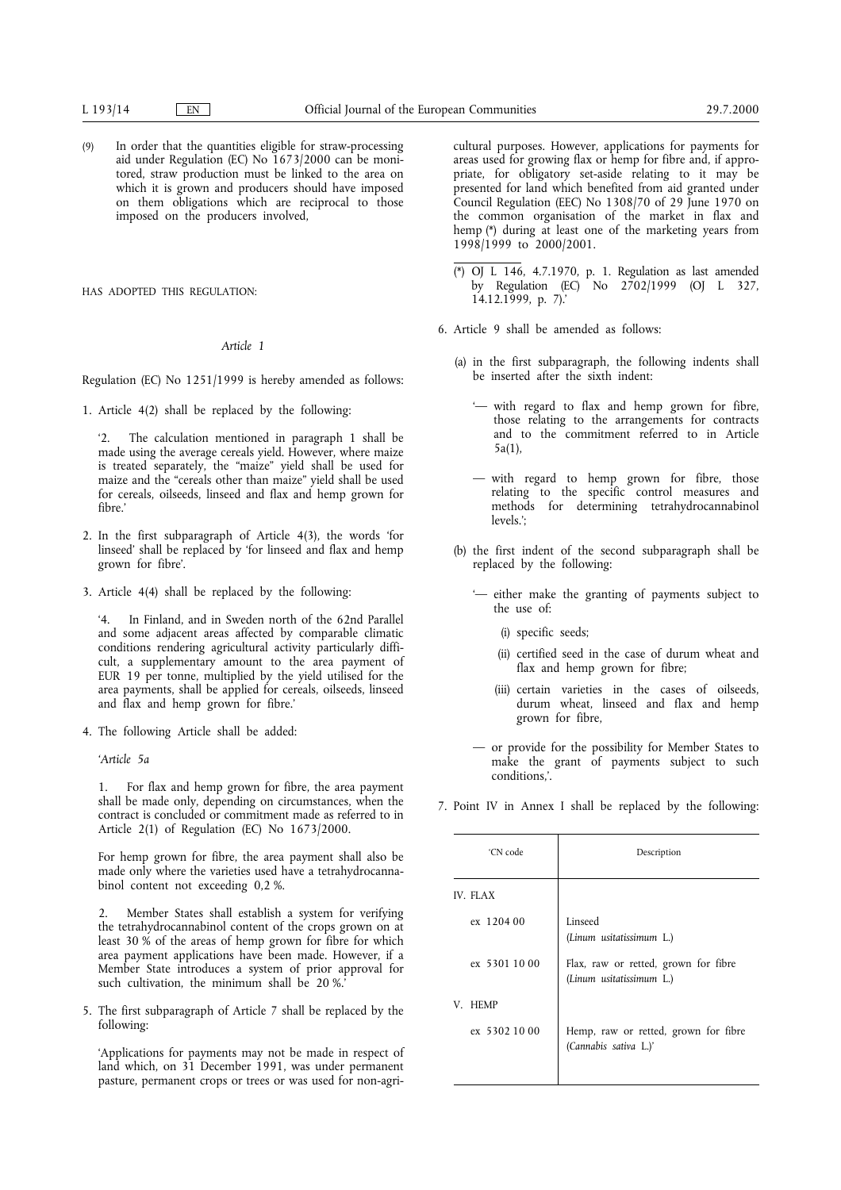(9) In order that the quantities eligible for straw-processing aid under Regulation (EC) No 1673/2000 can be monitored, straw production must be linked to the area on which it is grown and producers should have imposed on them obligations which are reciprocal to those imposed on the producers involved,

HAS ADOPTED THIS REGULATION.

### *Article 1*

Regulation (EC) No 1251/1999 is hereby amended as follows:

1. Article 4(2) shall be replaced by the following:

'2. The calculation mentioned in paragraph 1 shall be made using the average cereals yield. However, where maize is treated separately, the "maize" yield shall be used for maize and the "cereals other than maize" yield shall be used for cereals, oilseeds, linseed and flax and hemp grown for fibre.'

- 2. In the first subparagraph of Article 4(3), the words 'for linseed' shall be replaced by 'for linseed and flax and hemp grown for fibre'.
- 3. Article 4(4) shall be replaced by the following:

'4. In Finland, and in Sweden north of the 62nd Parallel and some adjacent areas affected by comparable climatic conditions rendering agricultural activity particularly difficult, a supplementary amount to the area payment of EUR 19 per tonne, multiplied by the yield utilised for the area payments, shall be applied for cereals, oilseeds, linseed and flax and hemp grown for fibre.'

4. The following Article shall be added:

*'Article 5a*

1. For flax and hemp grown for fibre, the area payment shall be made only, depending on circumstances, when the contract is concluded or commitment made as referred to in Article 2(1) of Regulation (EC) No 1673/2000.

For hemp grown for fibre, the area payment shall also be made only where the varieties used have a tetrahydrocannabinol content not exceeding 0,2 %.

2. Member States shall establish a system for verifying the tetrahydrocannabinol content of the crops grown on at least 30 % of the areas of hemp grown for fibre for which area payment applications have been made. However, if a Member State introduces a system of prior approval for such cultivation, the minimum shall be  $20\%$ .

5. The first subparagraph of Article 7 shall be replaced by the following:

'Applications for payments may not be made in respect of land which, on 31 December 1991, was under permanent pasture, permanent crops or trees or was used for non-agricultural purposes. However, applications for payments for areas used for growing flax or hemp for fibre and, if appropriate, for obligatory set-aside relating to it may be presented for land which benefited from aid granted under Council Regulation (EEC) No 1308/70 of 29 June 1970 on the common organisation of the market in flax and hemp (\*) during at least one of the marketing years from 1998/1999 to 2000/2001.

- $\overline{(*)}$  OJ L 146, 4.7.1970, p. 1. Regulation as last amended by Regulation (EC) No 2702/1999 (OJ L 327, 14.12.1999, p. 7).'
- 6. Article 9 shall be amended as follows:
	- (a) in the first subparagraph, the following indents shall be inserted after the sixth indent:
		- '— with regard to flax and hemp grown for fibre, those relating to the arrangements for contracts and to the commitment referred to in Article 5a(1),
		- with regard to hemp grown for fibre, those relating to the specific control measures and methods for determining tetrahydrocannabinol levels.';
	- (b) the first indent of the second subparagraph shall be replaced by the following:
		- '— either make the granting of payments subject to the use of:
			- (i) specific seeds;
			- (ii) certified seed in the case of durum wheat and flax and hemp grown for fibre;
			- (iii) certain varieties in the cases of oilseeds, durum wheat, linseed and flax and hemp grown for fibre,
		- or provide for the possibility for Member States to make the grant of payments subject to such conditions,'.
- 7. Point IV in Annex I shall be replaced by the following:

| 'CN code      | Description                                                      |
|---------------|------------------------------------------------------------------|
| IV. FLAX      |                                                                  |
| ex 1204 00    | Linseed<br>(Linum usitatissimum L.)                              |
| ex 5301 10 00 | Flax, raw or retted, grown for fibre<br>(Linum usitatissimum L.) |
| V. HEMP       |                                                                  |
| ex 5302 10 00 | Hemp, raw or retted, grown for fibre<br>(Cannabis sativa L.)'    |